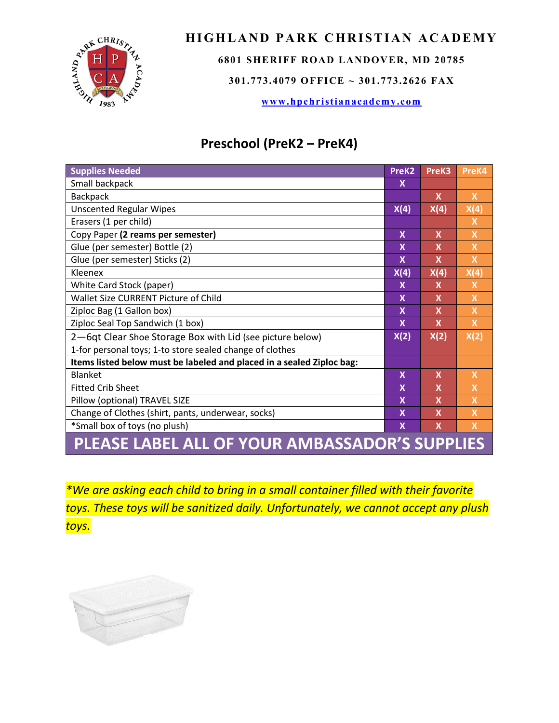

## **HIGHLAND PARK CHRISTIAN ACADEMY**

**6801 SHERIFF ROAD LANDOVER, MD 20785**

**301.773.4079 OFFICE ~ 301.773.2626 FAX**

**[www.hpchristianacademy.com](http://www.hpchristianacademy.com/)**

## **Preschool (PreK2 – PreK4)**

| <b>Supplies Needed</b>                                                | PreK <sub>2</sub> | PreK3                     | PreK4                     |  |
|-----------------------------------------------------------------------|-------------------|---------------------------|---------------------------|--|
| Small backpack                                                        | X                 |                           |                           |  |
| <b>Backpack</b>                                                       |                   | $\mathsf{x}$              | X                         |  |
| <b>Unscented Regular Wipes</b>                                        | X(4)              | X(4)                      | X(4)                      |  |
| Erasers (1 per child)                                                 |                   |                           | X                         |  |
| Copy Paper (2 reams per semester)                                     | $\mathbf x$       | $\mathsf{x}$              | $\mathsf{X}$              |  |
| Glue (per semester) Bottle (2)                                        | X                 | X                         | $\overline{\mathsf{x}}$   |  |
| Glue (per semester) Sticks (2)                                        | $\mathbf x$       | $\mathbf x$               | $\overline{\mathsf{x}}$   |  |
| Kleenex                                                               | X(4)              | X(4)                      | X(4)                      |  |
| White Card Stock (paper)                                              | X                 | X                         | X                         |  |
| Wallet Size CURRENT Picture of Child                                  | $\mathbf x$       | $\mathbf x$               | $\overline{\mathsf{x}}$   |  |
| Ziploc Bag (1 Gallon box)                                             | X                 | $\mathbf x$               | $\boldsymbol{\mathsf{X}}$ |  |
| Ziploc Seal Top Sandwich (1 box)                                      | X                 | $\boldsymbol{\mathsf{x}}$ | $\mathsf{X}$              |  |
| 2-6qt Clear Shoe Storage Box with Lid (see picture below)             | X(2)              | X(2)                      | X(2)                      |  |
| 1-for personal toys; 1-to store sealed change of clothes              |                   |                           |                           |  |
| Items listed below must be labeled and placed in a sealed Ziploc bag: |                   |                           |                           |  |
| <b>Blanket</b>                                                        | $\mathbf x$       | $\mathsf{x}$              | $\mathsf{x}$              |  |
| <b>Fitted Crib Sheet</b>                                              | $\mathbf x$       | $\boldsymbol{\mathsf{x}}$ | $\overline{\mathsf{x}}$   |  |
| Pillow (optional) TRAVEL SIZE                                         | X                 | $\mathsf{x}$              | $\overline{\mathsf{x}}$   |  |
| Change of Clothes (shirt, pants, underwear, socks)                    | X                 | $\boldsymbol{\mathsf{x}}$ | $\overline{\mathsf{x}}$   |  |
| *Small box of toys (no plush)                                         | X                 | $\mathsf{x}$              | $\mathsf{x}$              |  |
| PLEASE LABEL ALL OF YOUR AMBASSADOR'S SUPPLIES                        |                   |                           |                           |  |

*\*We are asking each child to bring in a small container filled with their favorite toys. These toys will be sanitized daily. Unfortunately, we cannot accept any plush toys.*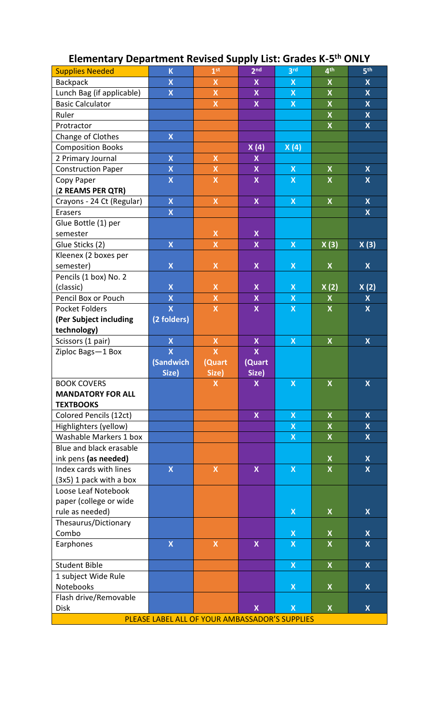| <b>Supplies Needed</b>    | $\overline{\mathsf{K}}$   | 1 <sup>st</sup>           | 2 <sub>nd</sub>           | 3 <sup>rd</sup>           | 4 <sup>th</sup>              | 5 <sup>th</sup>                                      |
|---------------------------|---------------------------|---------------------------|---------------------------|---------------------------|------------------------------|------------------------------------------------------|
| Backpack                  | $\mathsf{X}% _{0}$        | $\pmb{\mathsf{X}}$        | X                         | $\boldsymbol{\mathsf{X}}$ | $\pmb{\mathsf{X}}$           | X                                                    |
| Lunch Bag (if applicable) | $\overline{\mathsf{X}}$   | $\bar{\mathbf{X}}$        | $\boldsymbol{\mathsf{X}}$ | $\boldsymbol{\mathsf{X}}$ | $\boldsymbol{\mathsf{X}}$    | $\boldsymbol{\mathsf{X}}$                            |
| <b>Basic Calculator</b>   |                           | $\pmb{\mathsf{X}}$        | $\boldsymbol{\mathsf{X}}$ | $\boldsymbol{\mathsf{X}}$ | $\pmb{\mathsf{X}}$           | $\boldsymbol{X}$                                     |
| Ruler                     |                           |                           |                           |                           | $\overline{\mathsf{X}}$      | $\pmb{\mathsf{X}}$                                   |
| Protractor                |                           |                           |                           |                           | $\pmb{\mathsf{X}}$           | $\boldsymbol{X}$                                     |
| Change of Clothes         | $\boldsymbol{\mathsf{X}}$ |                           |                           |                           |                              |                                                      |
| <b>Composition Books</b>  |                           |                           | X(4)                      | X(4)                      |                              |                                                      |
| 2 Primary Journal         | $\boldsymbol{\mathsf{X}}$ | $\pmb{\mathsf{X}}$        | $\boldsymbol{\mathsf{X}}$ |                           |                              |                                                      |
| <b>Construction Paper</b> | $\mathsf{X}% _{0}$        | $\pmb{\mathsf{X}}$        | $\boldsymbol{\mathsf{X}}$ | $\boldsymbol{\mathsf{X}}$ | $\pmb{\mathsf{X}}$           | $\boldsymbol{\mathsf{X}}$                            |
| Copy Paper                | $\mathsf{X}% _{0}$        | $\pmb{\mathsf{X}}$        | $\mathsf{x}$              | $\boldsymbol{X}$          | $\boldsymbol{X}$             | $\boldsymbol{\mathsf{X}}$                            |
| (2 REAMS PER QTR)         |                           |                           |                           |                           |                              |                                                      |
| Crayons - 24 Ct (Regular) | $\boldsymbol{\mathsf{X}}$ | $\pmb{\mathsf{X}}$        | $\boldsymbol{\mathsf{X}}$ | $\boldsymbol{\mathsf{X}}$ | $\pmb{\mathsf{X}}$           | $\boldsymbol{X}$                                     |
| Erasers                   | $\mathsf{X}% _{0}$        |                           |                           |                           |                              | $\mathsf{x}$                                         |
| Glue Bottle (1) per       |                           |                           |                           |                           |                              |                                                      |
| semester                  |                           | $\pmb{\mathsf{X}}$        | $\boldsymbol{\mathsf{X}}$ |                           |                              |                                                      |
| Glue Sticks (2)           | $\boldsymbol{\mathsf{X}}$ | $\pmb{\mathsf{X}}$        | $\boldsymbol{\mathsf{X}}$ | $\boldsymbol{\mathsf{X}}$ | X(3)                         | X(3)                                                 |
| Kleenex (2 boxes per      |                           |                           |                           |                           |                              |                                                      |
| semester)                 | $\boldsymbol{\mathsf{X}}$ | $\pmb{\mathsf{X}}$        | $\pmb{\mathsf{X}}$        | $\pmb{\mathsf{X}}$        | $\pmb{\mathsf{X}}$           | $\pmb{\mathsf{X}}$                                   |
| Pencils (1 box) No. 2     |                           |                           |                           |                           |                              |                                                      |
| (classic)                 | $\overline{\mathsf{X}}$   | $\pmb{\mathsf{X}}$        | $\boldsymbol{\mathsf{X}}$ | $\pmb{\mathsf{X}}$        | X(2)                         | X(2)                                                 |
| Pencil Box or Pouch       | $\boldsymbol{\mathsf{X}}$ | $\pmb{\mathsf{X}}$        | $\pmb{\mathsf{X}}$        | $\pmb{\mathsf{X}}$        | $\pmb{\mathsf{X}}$           | $\boldsymbol{\mathsf{X}}$                            |
| <b>Pocket Folders</b>     | $\overline{\mathsf{X}}$   | $\boldsymbol{X}$          | $\pmb{\mathsf{X}}$        | $\pmb{\mathsf{X}}$        | $\pmb{\mathsf{X}}$           | $\boldsymbol{X}$                                     |
| (Per Subject including    | (2 folders)               |                           |                           |                           |                              |                                                      |
| technology)               |                           |                           |                           |                           |                              |                                                      |
| Scissors (1 pair)         | $\boldsymbol{\mathsf{X}}$ | $\pmb{\mathsf{X}}$        | $\boldsymbol{\mathsf{X}}$ | $\pmb{\mathsf{X}}$        | $\boldsymbol{X}$             | $\boldsymbol{\mathsf{X}}$                            |
| Ziploc Bags-1 Box         | $\overline{\mathsf{X}}$   | $\overline{\mathsf{X}}$   | $\overline{\mathsf{X}}$   |                           |                              |                                                      |
|                           | (Sandwich                 | (Quart                    | (Quart                    |                           |                              |                                                      |
|                           | Size)                     | Size)                     | Size)                     |                           |                              |                                                      |
| <b>BOOK COVERS</b>        |                           | $\mathsf{X}$              | $\boldsymbol{X}$          | $\boldsymbol{\mathsf{X}}$ | $\overline{\mathsf{X}}$      | $\overline{\mathsf{X}}$                              |
| <b>MANDATORY FOR ALL</b>  |                           |                           |                           |                           |                              |                                                      |
| <b>TEXTBOOKS</b>          |                           |                           |                           |                           |                              |                                                      |
| Colored Pencils (12ct)    |                           |                           | $\mathsf{x}$              | $\mathsf{X}$              | $\boldsymbol{X}$             | $\overline{\mathsf{X}}$                              |
| Highlighters (yellow)     |                           |                           |                           | $\pmb{\mathsf{X}}$        | $\boldsymbol{\mathsf{X}}$    | $\boldsymbol{X}$                                     |
| Washable Markers 1 box    |                           |                           |                           | $\boldsymbol{\mathsf{X}}$ | $\mathsf{X}% _{0}$           | $\boldsymbol{X}$                                     |
| Blue and black erasable   |                           |                           |                           |                           |                              |                                                      |
| ink pens (as needed)      |                           |                           |                           |                           | $\pmb{\mathsf{X}}$           | $\pmb{\mathsf{X}}$                                   |
| Index cards with lines    | $\boldsymbol{\mathsf{X}}$ | $\boldsymbol{\mathsf{X}}$ | $\boldsymbol{\mathsf{X}}$ | $\boldsymbol{\mathsf{X}}$ | X                            | $\boldsymbol{\mathsf{X}}$                            |
| (3x5) 1 pack with a box   |                           |                           |                           |                           |                              |                                                      |
| Loose Leaf Notebook       |                           |                           |                           |                           |                              |                                                      |
| paper (college or wide    |                           |                           |                           |                           |                              |                                                      |
| rule as needed)           |                           |                           |                           | $\boldsymbol{X}$          | X                            | $\overline{\mathsf{x}}$                              |
| Thesaurus/Dictionary      |                           |                           |                           |                           |                              |                                                      |
| Combo                     |                           |                           |                           | X                         | X<br>$\overline{\mathsf{X}}$ | $\boldsymbol{\mathsf{X}}$<br>$\overline{\mathsf{X}}$ |
| Earphones                 | $\overline{\mathsf{X}}$   | $\mathsf{X}$              | $\mathsf{x}$              | $\boldsymbol{X}$          |                              |                                                      |
| <b>Student Bible</b>      |                           |                           |                           | $\overline{\mathsf{X}}$   | $\overline{\mathsf{X}}$      | $\overline{\mathsf{X}}$                              |
| 1 subject Wide Rule       |                           |                           |                           |                           |                              |                                                      |
| Notebooks                 |                           |                           |                           | $\boldsymbol{\mathsf{X}}$ | $\boldsymbol{X}$             | $\boldsymbol{X}$                                     |
| Flash drive/Removable     |                           |                           |                           |                           |                              |                                                      |
| <b>Disk</b>               |                           |                           | $\boldsymbol{X}$          | $\overline{\mathsf{X}}$   | $\boldsymbol{X}$             | $\boldsymbol{\mathsf{X}}$                            |
|                           |                           |                           |                           |                           |                              |                                                      |

## **Elementary Department Revised Supply List: Grades K-5th ONLY**

PLEASE LABEL ALL OF YOUR AMBASSADOR'S SUPPLIES